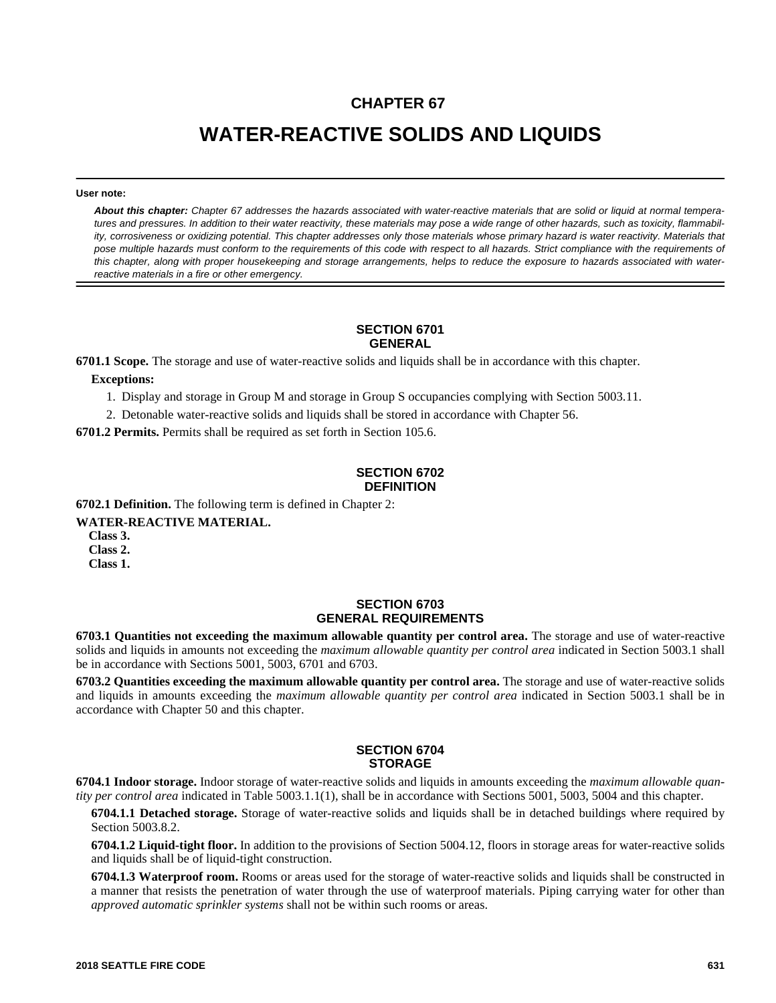# **CHAPTER 67**

# **WATER-REACTIVE SOLIDS AND LIQUIDS**

#### **User note:**

*About this chapter: Chapter 67 addresses the hazards associated with water-reactive materials that are solid or liquid at normal temperatures and pressures. In addition to their water reactivity, these materials may pose a wide range of other hazards, such as toxicity, flammability, corrosiveness or oxidizing potential. This chapter addresses only those materials whose primary hazard is water reactivity. Materials that pose multiple hazards must conform to the requirements of this code with respect to all hazards. Strict compliance with the requirements of this chapter, along with proper housekeeping and storage arrangements, helps to reduce the exposure to hazards associated with waterreactive materials in a fire or other emergency.*

## **SECTION 6701 GENERAL**

**6701.1 Scope.** The storage and use of water-reactive solids and liquids shall be in accordance with this chapter.

**Exceptions:**

1. Display and storage in Group M and storage in Group S occupancies complying with Section 5003.11.

2. Detonable water-reactive solids and liquids shall be stored in accordance with Chapter 56.

**6701.2 Permits.** Permits shall be required as set forth in Section 105.6.

# **SECTION 6702 DEFINITION**

**6702.1 Definition.** The following term is defined in Chapter 2:

**WATER-REACTIVE MATERIAL.**

**Class 3. Class 2.**

**Class 1.**

## **SECTION 6703 GENERAL REQUIREMENTS**

**6703.1 Quantities not exceeding the maximum allowable quantity per control area.** The storage and use of water-reactive solids and liquids in amounts not exceeding the *maximum allowable quantity per control area* indicated in Section 5003.1 shall be in accordance with Sections 5001, 5003, 6701 and 6703.

**6703.2 Quantities exceeding the maximum allowable quantity per control area.** The storage and use of water-reactive solids and liquids in amounts exceeding the *maximum allowable quantity per control area* indicated in Section 5003.1 shall be in accordance with Chapter 50 and this chapter.

## **SECTION 6704 STORAGE**

**6704.1 Indoor storage.** Indoor storage of water-reactive solids and liquids in amounts exceeding the *maximum allowable quantity per control area* indicated in Table 5003.1.1(1), shall be in accordance with Sections 5001, 5003, 5004 and this chapter.

**6704.1.1 Detached storage.** Storage of water-reactive solids and liquids shall be in detached buildings where required by Section 5003.8.2.

**6704.1.2 Liquid-tight floor.** In addition to the provisions of Section 5004.12, floors in storage areas for water-reactive solids and liquids shall be of liquid-tight construction.

**6704.1.3 Waterproof room.** Rooms or areas used for the storage of water-reactive solids and liquids shall be constructed in a manner that resists the penetration of water through the use of waterproof materials. Piping carrying water for other than *approved automatic sprinkler systems* shall not be within such rooms or areas.